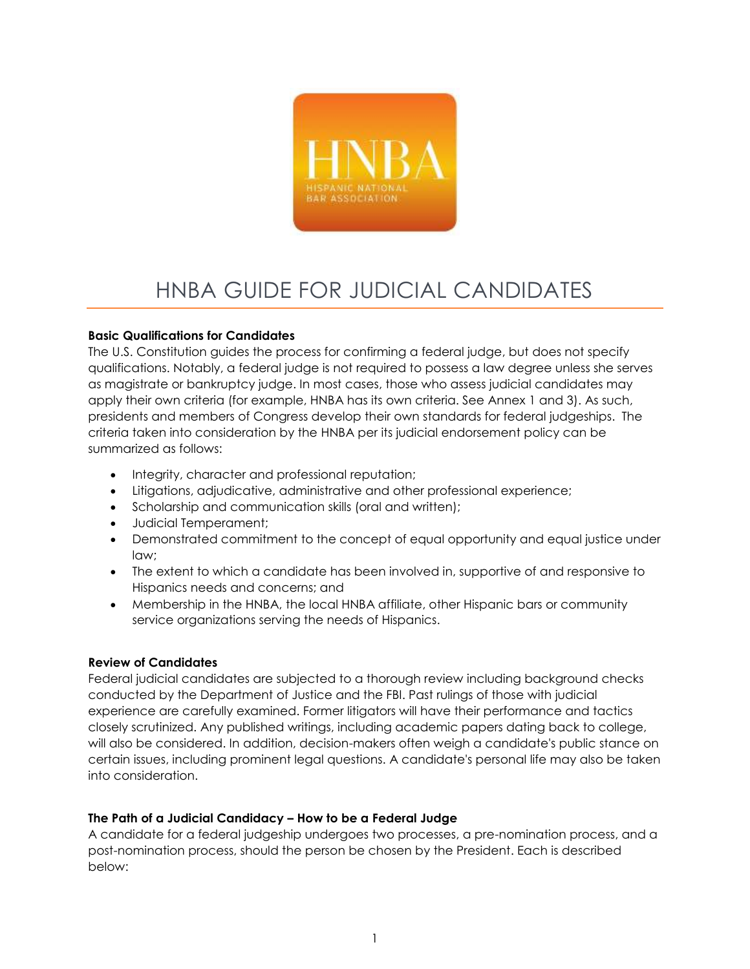

# HNBA GUIDE FOR JUDICIAL CANDIDATES

## **Basic Qualifications for Candidates**

The U.S. Constitution guides the process for confirming a federal judge, but does not specify qualifications. Notably, a federal judge is not required to possess a law degree unless she serves as magistrate or bankruptcy judge. In most cases, those who assess judicial candidates may apply their own criteria (for example, HNBA has its own criteria. See Annex 1 and 3). As such, presidents and members of Congress develop their own standards for federal judgeships. The criteria taken into consideration by the HNBA per its judicial endorsement policy can be summarized as follows:

- Integrity, character and professional reputation;
- Litigations, adjudicative, administrative and other professional experience;
- Scholarship and communication skills (oral and written);
- Judicial Temperament;
- Demonstrated commitment to the concept of equal opportunity and equal justice under law;
- The extent to which a candidate has been involved in, supportive of and responsive to Hispanics needs and concerns; and
- Membership in the HNBA, the local HNBA affiliate, other Hispanic bars or community service organizations serving the needs of Hispanics.

## **Review of Candidates**

Federal judicial candidates are subjected to a thorough review including background checks conducted by the Department of Justice and the FBI. Past rulings of those with judicial experience are carefully examined. Former litigators will have their performance and tactics closely scrutinized. Any published writings, including academic papers dating back to college, will also be considered. In addition, decision-makers often weigh a candidate's public stance on certain issues, including prominent legal questions. A candidate's personal life may also be taken into consideration.

## **The Path of a Judicial Candidacy – How to be a Federal Judge**

A candidate for a federal judgeship undergoes two processes, a pre-nomination process, and a post-nomination process, should the person be chosen by the President. Each is described below: